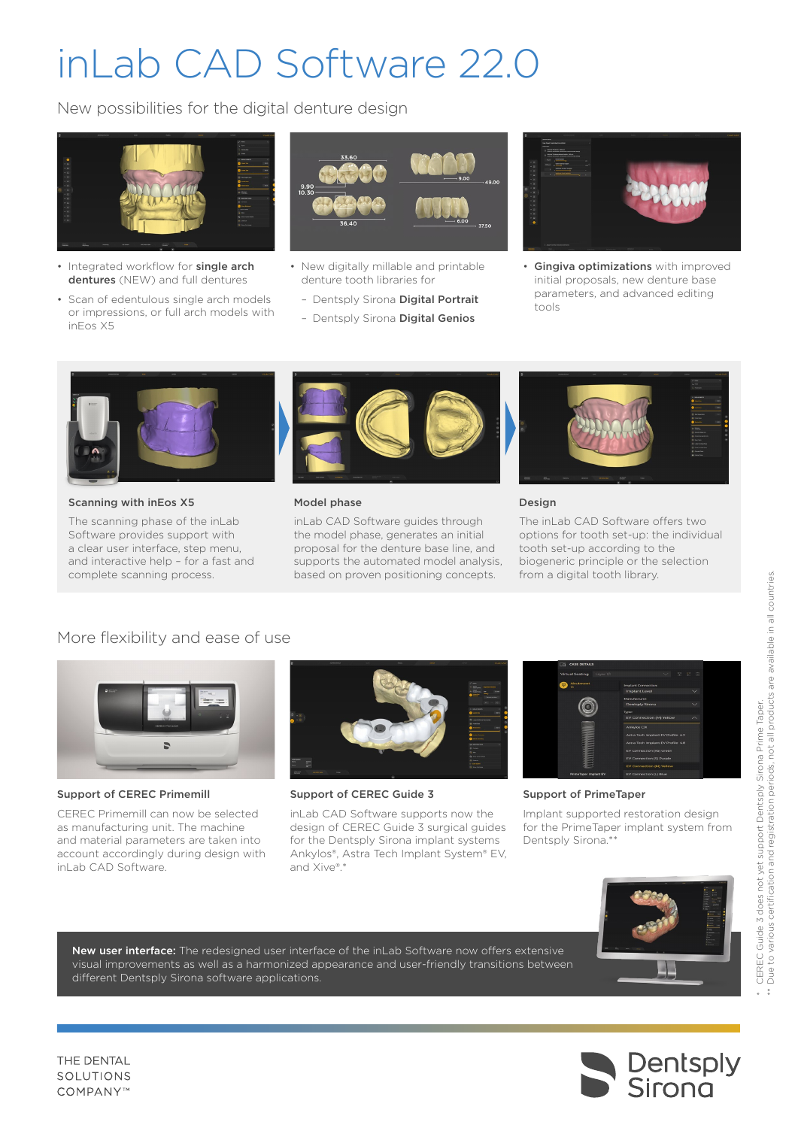# inLab CAD Software 22.0

New possibilities for the digital denture design



- Integrated workflow for single arch dentures (NEW) and full dentures
- Scan of edentulous single arch models or impressions, or full arch models with inEos X5



- New digitally millable and printable denture tooth libraries for
	- Dentsply Sirona Digital Portrait
	- Dentsply Sirona Digital Genios



• Gingiva optimizations with improved initial proposals, new denture base parameters, and advanced editing tools



Scanning with inEos X5

The scanning phase of the inLab Software provides support with a clear user interface, step menu, and interactive help – for a fast and complete scanning process.



#### Model phase

inLab CAD Software guides through the model phase, generates an initial proposal for the denture base line, and supports the automated model analysis, based on proven positioning concepts.



#### Design

The inLab CAD Software offers two options for tooth set-up: the individual tooth set-up according to the biogeneric principle or the selection from a digital tooth library.

## More flexibility and ease of use



Support of CEREC Primemill

CEREC Primemill can now be selected as manufacturing unit. The machine and material parameters are taken into account accordingly during design with inLab CAD Software.



Support of CEREC Guide 3

inLab CAD Software supports now the design of CEREC Guide 3 surgical guides for the Dentsply Sirona implant systems Ankylos®, Astra Tech Implant System® EV, and Xive®.\*



Support of PrimeTaper

Implant supported restoration design for the PrimeTaper implant system from Dentsply Sirona.\*\*



New user interface: The redesigned user interface of the inLab Software now offers extensive visual improvements as well as a harmonized appearance and user-friendly transitions between different Dentsply Sirona software applications.



THE DENTAL SOLUTIONS COMPANY™